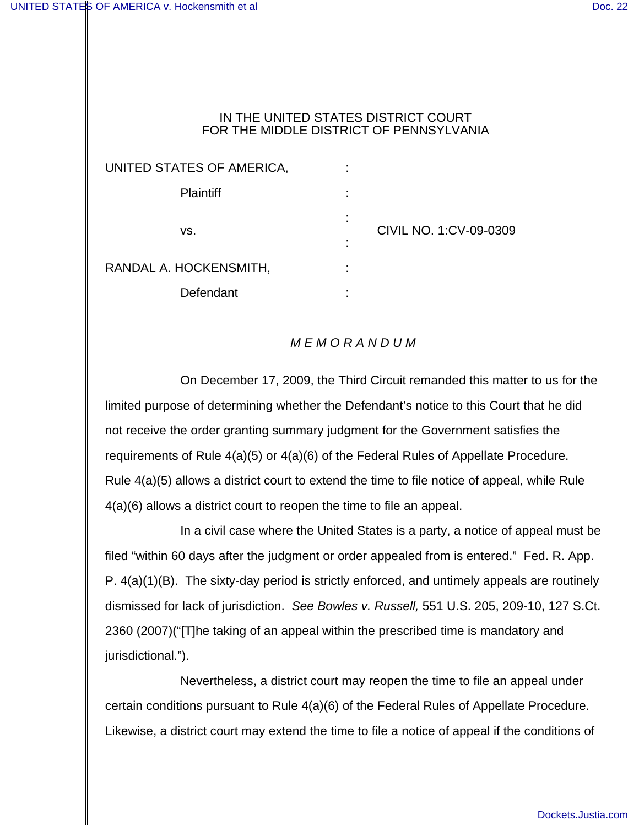## IN THE UNITED STATES DISTRICT COURT FOR THE MIDDLE DISTRICT OF PENNSYLVANIA

UNITED STATES OF AMERICA,  $\cdot$ 

| <b>Plaintiff</b>       |                          |                        |
|------------------------|--------------------------|------------------------|
| VS.                    | ٠<br>$\blacksquare$<br>٠ | CIVIL NO. 1:CV-09-0309 |
| RANDAL A. HOCKENSMITH, |                          |                        |
| Defendant              |                          |                        |

## *M E M O R A N D U M*

On December 17, 2009, the Third Circuit remanded this matter to us for the limited purpose of determining whether the Defendant's notice to this Court that he did not receive the order granting summary judgment for the Government satisfies the requirements of Rule 4(a)(5) or 4(a)(6) of the Federal Rules of Appellate Procedure. Rule 4(a)(5) allows a district court to extend the time to file notice of appeal, while Rule 4(a)(6) allows a district court to reopen the time to file an appeal.

In a civil case where the United States is a party, a notice of appeal must be filed "within 60 days after the judgment or order appealed from is entered." Fed. R. App. P.  $4(a)(1)(B)$ . The sixty-day period is strictly enforced, and untimely appeals are routinely dismissed for lack of jurisdiction. *See Bowles v. Russell,* 551 U.S. 205, 209-10, 127 S.Ct. 2360 (2007)("[T]he taking of an appeal within the prescribed time is mandatory and jurisdictional.").

Nevertheless, a district court may reopen the time to file an appeal under certain conditions pursuant to Rule 4(a)(6) of the Federal Rules of Appellate Procedure. Likewise, a district court may extend the time to file a notice of appeal if the conditions of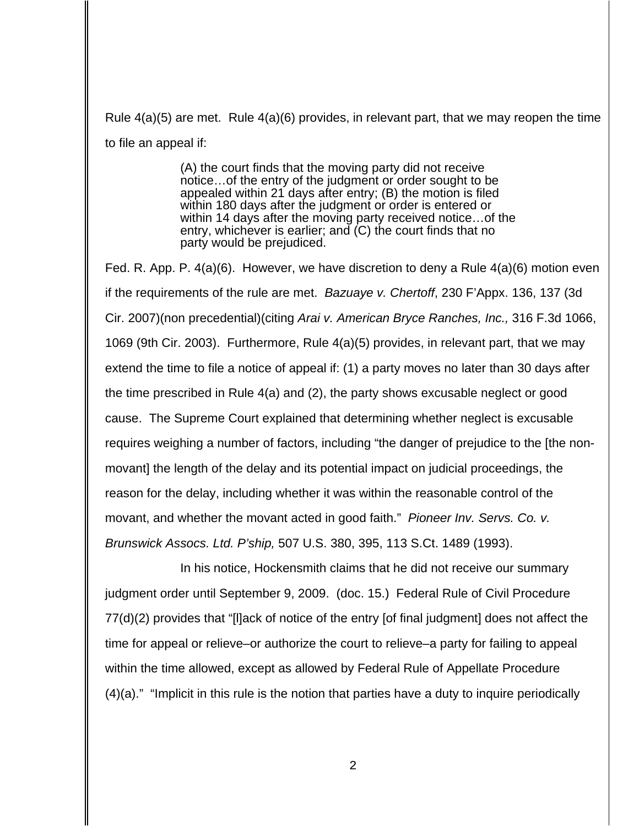Rule  $4(a)(5)$  are met. Rule  $4(a)(6)$  provides, in relevant part, that we may reopen the time to file an appeal if:

> (A) the court finds that the moving party did not receive notice…of the entry of the judgment or order sought to be appealed within 21 days after entry; (B) the motion is filed within 180 days after the judgment or order is entered or within 14 days after the moving party received notice…of the entry, whichever is earlier; and (C) the court finds that no party would be prejudiced.

Fed. R. App. P. 4(a)(6). However, we have discretion to deny a Rule 4(a)(6) motion even if the requirements of the rule are met. *Bazuaye v. Chertoff*, 230 F'Appx. 136, 137 (3d Cir. 2007)(non precedential)(citing *Arai v. American Bryce Ranches, Inc.,* 316 F.3d 1066, 1069 (9th Cir. 2003). Furthermore, Rule 4(a)(5) provides, in relevant part, that we may extend the time to file a notice of appeal if: (1) a party moves no later than 30 days after the time prescribed in Rule 4(a) and (2), the party shows excusable neglect or good cause. The Supreme Court explained that determining whether neglect is excusable requires weighing a number of factors, including "the danger of prejudice to the [the nonmovant] the length of the delay and its potential impact on judicial proceedings, the reason for the delay, including whether it was within the reasonable control of the movant, and whether the movant acted in good faith." *Pioneer Inv. Servs. Co. v. Brunswick Assocs. Ltd. P'ship,* 507 U.S. 380, 395, 113 S.Ct. 1489 (1993).

In his notice, Hockensmith claims that he did not receive our summary judgment order until September 9, 2009. (doc. 15.) Federal Rule of Civil Procedure 77(d)(2) provides that "[l]ack of notice of the entry [of final judgment] does not affect the time for appeal or relieve–or authorize the court to relieve–a party for failing to appeal within the time allowed, except as allowed by Federal Rule of Appellate Procedure (4)(a)." "Implicit in this rule is the notion that parties have a duty to inquire periodically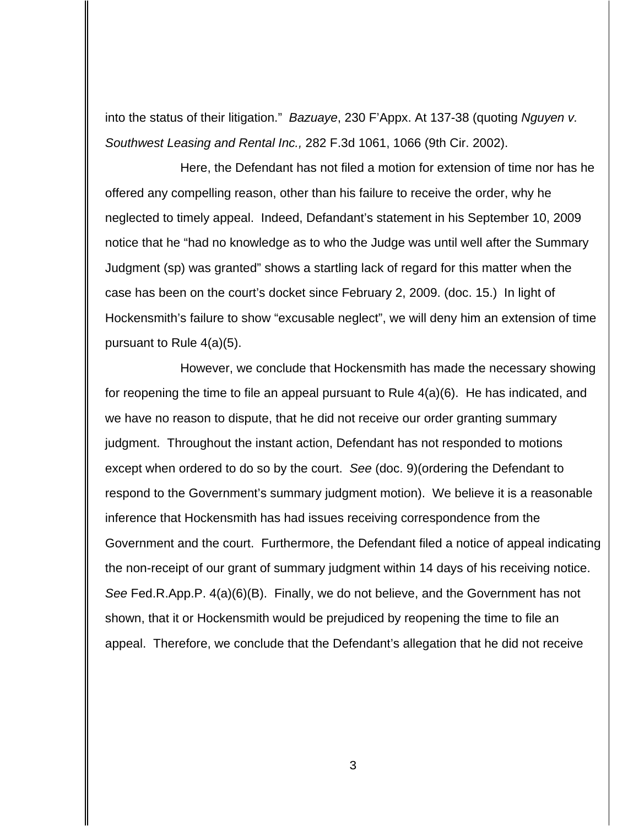into the status of their litigation." *Bazuaye*, 230 F'Appx. At 137-38 (quoting *Nguyen v. Southwest Leasing and Rental Inc.,* 282 F.3d 1061, 1066 (9th Cir. 2002).

Here, the Defendant has not filed a motion for extension of time nor has he offered any compelling reason, other than his failure to receive the order, why he neglected to timely appeal. Indeed, Defandant's statement in his September 10, 2009 notice that he "had no knowledge as to who the Judge was until well after the Summary Judgment (sp) was granted" shows a startling lack of regard for this matter when the case has been on the court's docket since February 2, 2009. (doc. 15.) In light of Hockensmith's failure to show "excusable neglect", we will deny him an extension of time pursuant to Rule 4(a)(5).

However, we conclude that Hockensmith has made the necessary showing for reopening the time to file an appeal pursuant to Rule 4(a)(6). He has indicated, and we have no reason to dispute, that he did not receive our order granting summary judgment. Throughout the instant action, Defendant has not responded to motions except when ordered to do so by the court. *See* (doc. 9)(ordering the Defendant to respond to the Government's summary judgment motion). We believe it is a reasonable inference that Hockensmith has had issues receiving correspondence from the Government and the court. Furthermore, the Defendant filed a notice of appeal indicating the non-receipt of our grant of summary judgment within 14 days of his receiving notice. *See* Fed.R.App.P. 4(a)(6)(B). Finally, we do not believe, and the Government has not shown, that it or Hockensmith would be prejudiced by reopening the time to file an appeal. Therefore, we conclude that the Defendant's allegation that he did not receive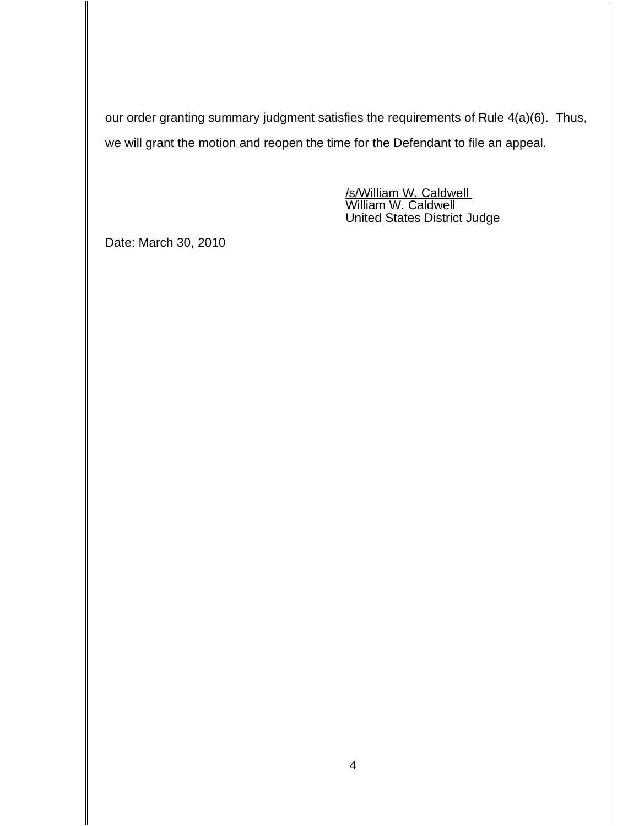our order granting summary judgment satisfies the requirements of Rule 4(a)(6). Thus, we will grant the motion and reopen the time for the Defendant to file an appeal.

> /s/William W. Caldwell William W. Caldwell United States District Judge

Date: March 30, 2010